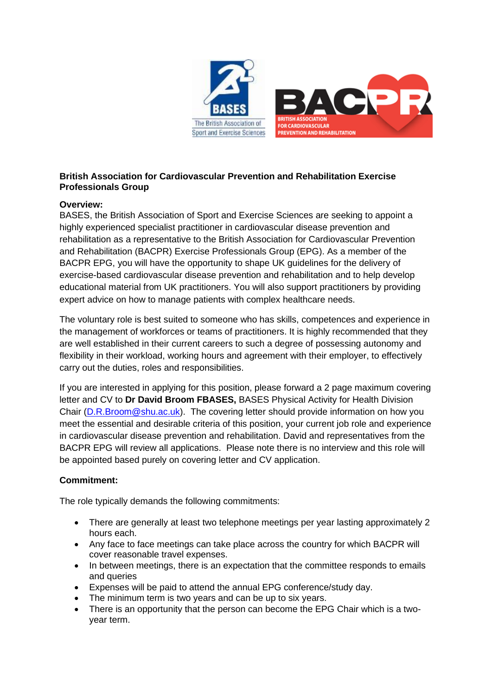

# **British Association for Cardiovascular Prevention and Rehabilitation Exercise Professionals Group**

# **Overview:**

BASES, the British Association of Sport and Exercise Sciences are seeking to appoint a highly experienced specialist practitioner in cardiovascular disease prevention and rehabilitation as a representative to the British Association for Cardiovascular Prevention and Rehabilitation (BACPR) Exercise Professionals Group (EPG). As a member of the BACPR EPG, you will have the opportunity to shape UK guidelines for the delivery of exercise-based cardiovascular disease prevention and rehabilitation and to help develop educational material from UK practitioners. You will also support practitioners by providing expert advice on how to manage patients with complex healthcare needs.

The voluntary role is best suited to someone who has skills, competences and experience in the management of workforces or teams of practitioners. It is highly recommended that they are well established in their current careers to such a degree of possessing autonomy and flexibility in their workload, working hours and agreement with their employer, to effectively carry out the duties, roles and responsibilities.

If you are interested in applying for this position, please forward a 2 page maximum covering letter and CV to **Dr David Broom FBASES,** BASES Physical Activity for Health Division Chair [\(D.R.Broom@shu.ac.uk\)](mailto:D.R.Broom@shu.ac.uk). The covering letter should provide information on how you meet the essential and desirable criteria of this position, your current job role and experience in cardiovascular disease prevention and rehabilitation. David and representatives from the BACPR EPG will review all applications. Please note there is no interview and this role will be appointed based purely on covering letter and CV application.

### **Commitment:**

The role typically demands the following commitments:

- There are generally at least two telephone meetings per year lasting approximately 2 hours each.
- Any face to face meetings can take place across the country for which BACPR will cover reasonable travel expenses.
- In between meetings, there is an expectation that the committee responds to emails and queries
- Expenses will be paid to attend the annual EPG conference/study day.
- The minimum term is two years and can be up to six years.
- There is an opportunity that the person can become the EPG Chair which is a twoyear term.